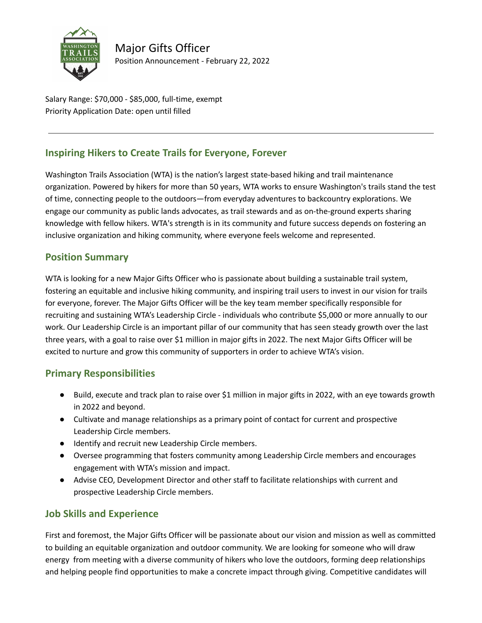

Major Gifts Officer Position Announcement - February 22, 2022

Salary Range: \$70,000 - \$85,000, full-time, exempt Priority Application Date: open until filled

## **Inspiring Hikers to Create Trails for Everyone, Forever**

Washington Trails Association (WTA) is the nation's largest state‐based hiking and trail maintenance organization. Powered by hikers for more than 50 years, WTA works to ensure Washington's trails stand the test of time, connecting people to the outdoors—from everyday adventures to backcountry explorations. We engage our community as public lands advocates, as trail stewards and as on‐the‐ground experts sharing knowledge with fellow hikers. WTA's strength is in its community and future success depends on fostering an inclusive organization and hiking community, where everyone feels welcome and represented.

#### **Position Summary**

WTA is looking for a new Major Gifts Officer who is passionate about building a sustainable trail system, fostering an equitable and inclusive hiking community, and inspiring trail users to invest in our vision for trails for everyone, forever. The Major Gifts Officer will be the key team member specifically responsible for recruiting and sustaining WTA's Leadership Circle - individuals who contribute \$5,000 or more annually to our work. Our Leadership Circle is an important pillar of our community that has seen steady growth over the last three years, with a goal to raise over \$1 million in major gifts in 2022. The next Major Gifts Officer will be excited to nurture and grow this community of supporters in order to achieve WTA's vision.

#### **Primary Responsibilities**

- Build, execute and track plan to raise over \$1 million in major gifts in 2022, with an eye towards growth in 2022 and beyond.
- Cultivate and manage relationships as a primary point of contact for current and prospective Leadership Circle members.
- Identify and recruit new Leadership Circle members.
- Oversee programming that fosters community among Leadership Circle members and encourages engagement with WTA's mission and impact.
- Advise CEO, Development Director and other staff to facilitate relationships with current and prospective Leadership Circle members.

#### **Job Skills and Experience**

First and foremost, the Major Gifts Officer will be passionate about our vision and mission as well as committed to building an equitable organization and outdoor community. We are looking for someone who will draw energy from meeting with a diverse community of hikers who love the outdoors, forming deep relationships and helping people find opportunities to make a concrete impact through giving. Competitive candidates will